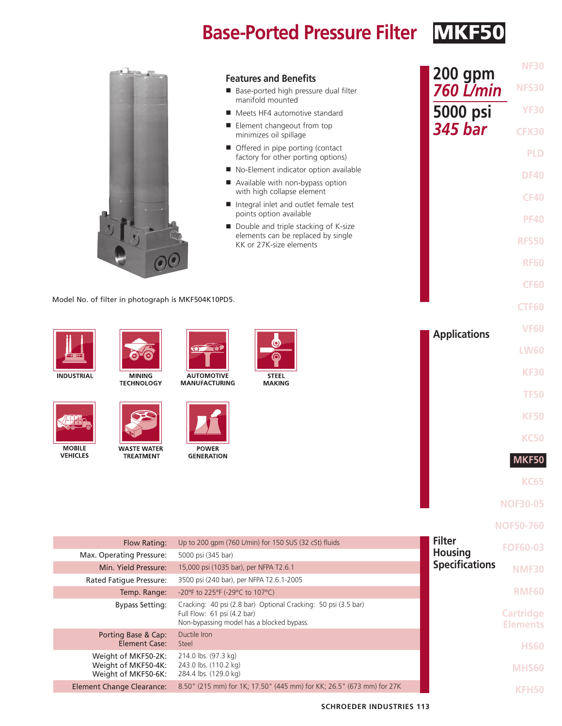# **Base-Ported Pressure Filter MKF50**



| <b>Features and Benefits</b><br>Base-ported high pressure dual filter<br>manifold mounted               | <b>200 gpm</b><br><b>760 L/min</b> |
|---------------------------------------------------------------------------------------------------------|------------------------------------|
| Meets HF4 automotive standard                                                                           | 5000 psi                           |
| ■ Element changeout from top<br>minimizes oil spillage                                                  | <b>345 bar</b>                     |
| Offered in pipe porting (contact<br>factory for other porting options)                                  |                                    |
| No-Element indicator option available                                                                   |                                    |
| Available with non-bypass option<br>with high collapse element                                          |                                    |
| Integral inlet and outlet female test<br>points option available                                        |                                    |
| ■ Double and triple stacking of K-size<br>elements can be replaced by single<br>KK or 27K-size elements |                                    |
|                                                                                                         |                                    |
|                                                                                                         |                                    |
| D5.                                                                                                     |                                    |
|                                                                                                         |                                    |
| ΙE<br>STEEL<br>ING<br><b>MAKING</b>                                                                     | <b>Applications</b>                |
|                                                                                                         |                                    |
|                                                                                                         |                                    |

Model No. of filter in photograph is MKF504K10PD5.







**AUTOMOTIVE MANUFACTURING** 





**MOBILE VEHICLES** 



**WASTE WATER** TREATMENT



**POWER GENERATION** 

| <b>KC65</b> |
|-------------|
| MKF50       |
| <b>KC50</b> |
| <b>KF50</b> |
| <b>TF50</b> |
| <b>KF30</b> |
| $L$ W $60$  |

**NOF30-05**

**NF30**

**NFS30**

**YF30**

**CFX30**

**PLD**

**DF40**

**CF40**

**PF40**

**RFS50**

**RF60**

**CF60**

**CTF60**

**VF60**

**NOF50-760**

| Flow Rating:                                                      | Up to 200 gpm (760 L/min) for 150 SUS (32 cSt) fluids                                                                                      | <b>Filter</b>         | <b>FOF60-03</b>                     |
|-------------------------------------------------------------------|--------------------------------------------------------------------------------------------------------------------------------------------|-----------------------|-------------------------------------|
| Max. Operating Pressure:                                          | 5000 psi (345 bar)                                                                                                                         | <b>Housing</b>        |                                     |
| Min. Yield Pressure:                                              | 15,000 psi (1035 bar), per NFPA T2.6.1                                                                                                     | <b>Specifications</b> | NMF30                               |
| <b>Rated Fatique Pressure:</b>                                    | 3500 psi (240 bar), per NFPA T2.6.1-2005                                                                                                   |                       |                                     |
| Temp. Range:                                                      | -20°F to 225°F (-29°C to 107°C)                                                                                                            |                       | <b>RMF60</b>                        |
| <b>Bypass Setting:</b>                                            | Cracking: 40 psi (2.8 bar) Optional Cracking: 50 psi (3.5 bar)<br>Full Flow: 61 psi (4.2 bar)<br>Non-bypassing model has a blocked bypass. |                       | <b>Cartridge</b><br><b>Elements</b> |
| Porting Base & Cap:<br>Element Case:                              | Ductile Iron<br>Steel                                                                                                                      |                       | <b>HS60</b>                         |
| Weight of MKF50-2K:<br>Weight of MKF50-4K:<br>Weight of MKF50-6K: | 214.0 lbs. (97.3 kg)<br>243.0 lbs. (110.2 kg)<br>284.4 lbs. (129.0 kg)                                                                     |                       | MHS60                               |
| <b>Element Change Clearance:</b>                                  | 8.50" (215 mm) for 1K; 17.50" (445 mm) for KK; 26.5" (673 mm) for 27K                                                                      |                       |                                     |

**SCHROEDER INDUSTRIES 113**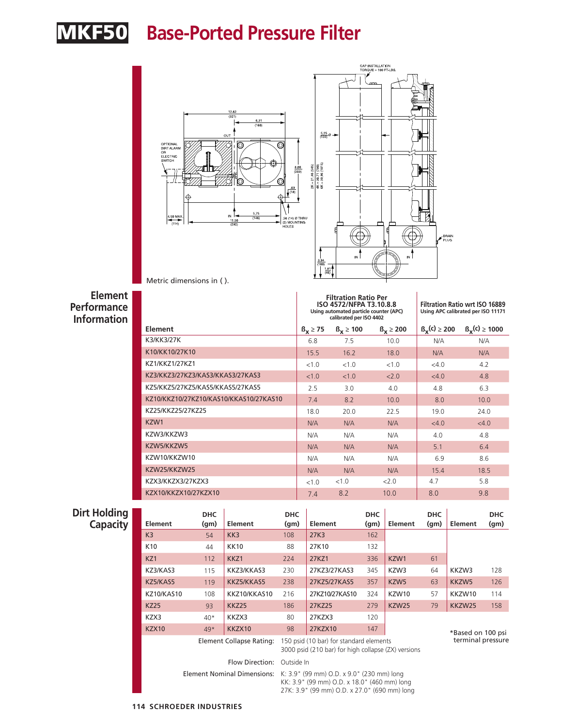# MKF50 **Base-Ported Pressure Filter**



Metric dimensions in ( ).

### **Element Performance Information**

|                                        |               | <b>Filtration Ratio Per</b><br>ISO 4572/NFPA T3.10.8.8<br>Using automated particle counter (APC)<br>calibrated per ISO 4402 | <b>Filtration Ratio wrt ISO 16889</b><br>Using APC calibrated per ISO 11171 |                            |                                  |
|----------------------------------------|---------------|-----------------------------------------------------------------------------------------------------------------------------|-----------------------------------------------------------------------------|----------------------------|----------------------------------|
| <b>Element</b>                         | $B_v \geq 75$ | $B_v \ge 100$                                                                                                               | $B_v \ge 200$                                                               | $\beta_{\rm v}(c) \ge 200$ | $\beta_{\mathbf{y}}(c) \ge 1000$ |
| K3/KK3/27K                             | 6.8           | 7.5                                                                                                                         | 10.0                                                                        | N/A                        | N/A                              |
| K10/KK10/27K10                         | 15.5          | 16.2                                                                                                                        | 18.0                                                                        | N/A                        | N/A                              |
| KZ1/KKZ1/27KZ1                         | < 1.0         | < 1.0                                                                                                                       | <1.0                                                                        | <4.0                       | 4.2                              |
| KZ3/KKZ3/27KZ3/KAS3/KKAS3/27KAS3       | < 1.0         | < 1.0                                                                                                                       | 2.0                                                                         | <4.0                       | 4.8                              |
| KZ5/KKZ5/27KZ5/KAS5/KKAS5/27KAS5       | 2.5           | 3.0                                                                                                                         | 4.0                                                                         | 4.8                        | 6.3                              |
| KZ10/KKZ10/27KZ10/KAS10/KKAS10/27KAS10 | 7.4           | 8.2                                                                                                                         | 10.0                                                                        | 8.0                        | 10.0                             |
| KZ25/KKZ25/27KZ25                      | 18.0          | 20.0                                                                                                                        | 22.5                                                                        | 19.0                       | 24.0                             |
| KZW1                                   | N/A           | N/A                                                                                                                         | N/A                                                                         | <4.0                       | <4.0                             |
| KZW3/KKZW3                             | N/A           | N/A                                                                                                                         | N/A                                                                         | 4.0                        | 4.8                              |
| KZW5/KKZW5                             | N/A           | N/A                                                                                                                         | N/A                                                                         | 5.1                        | 6.4                              |
| KZW10/KKZW10                           | N/A           | N/A                                                                                                                         | N/A                                                                         | 6.9                        | 8.6                              |
| KZW25/KKZW25                           | N/A           | N/A                                                                                                                         | N/A                                                                         | 15.4                       | 18.5                             |
| KZX3/KKZX3/27KZX3                      | <1.0          | <1.0                                                                                                                        | 2.0                                                                         | 4.7                        | 5.8                              |
| KZX10/KKZX10/27KZX10                   | 7.4           | 8.2                                                                                                                         | 10.0                                                                        | 8.0                        | 9.8                              |

### **Dirt Holding**

| <b>Holding</b><br><b>Capacity</b> | Element           | <b>DHC</b><br>(g <sub>m</sub> ) | Element                  | <b>DHC</b><br>(g <sub>m</sub> )                                                                | Element        | <b>DHC</b><br>(g <sub>m</sub> ) | Element          | <b>DHC</b><br>(qm) | Element           | <b>DHC</b><br>(g <sub>m</sub> ) |
|-----------------------------------|-------------------|---------------------------------|--------------------------|------------------------------------------------------------------------------------------------|----------------|---------------------------------|------------------|--------------------|-------------------|---------------------------------|
|                                   | K3                | 54                              | KK3                      | 108                                                                                            | 27K3           | 162                             |                  |                    |                   |                                 |
|                                   | K <sub>10</sub>   | 44                              | <b>KK10</b>              | 88                                                                                             | 27K10          | 132                             |                  |                    |                   |                                 |
|                                   | KZ1               | 112                             | KKZ1                     | 224                                                                                            | 27KZ1          | 336                             | KZW1             | 61                 |                   |                                 |
|                                   | KZ3/KAS3          | 115                             | KKZ3/KKAS3               | 230                                                                                            | 27KZ3/27KAS3   | 345                             | KZW3             | 64                 | KKZW3             | 128                             |
|                                   | KZ5/KAS5          | 119                             | KKZ5/KKAS5               | 238                                                                                            | 27KZ5/27KAS5   | 357                             | KZW <sub>5</sub> | 63                 | KKZW5             | 126                             |
|                                   | <b>KZ10/KAS10</b> | 108                             | KKZ10/KKAS10             | 216                                                                                            | 27KZ10/27KAS10 | 324                             | KZW10            | 57                 | KKZW10            | 114                             |
|                                   | <b>KZ25</b>       | 93                              | <b>KKZ25</b>             | 186                                                                                            | 27KZ25         | 279                             | KZW25            | 79                 | KKZW25            | 158                             |
|                                   | KZX3              | $40*$                           | KKZX3                    | 80                                                                                             | 27KZX3         | 120                             |                  |                    |                   |                                 |
|                                   | <b>KZX10</b>      | $49*$                           | KKZX10                   | 98                                                                                             | 27KZX10        | 147                             |                  |                    | *Based on 100 psi |                                 |
|                                   |                   |                                 | Element Collapse Rating: | 150 psid (10 bar) for standard elements<br>3000 psid (210 bar) for high collapse (ZX) versions |                |                                 |                  |                    | terminal pressure |                                 |
|                                   |                   |                                 | Flow Direction:          | Outside In                                                                                     |                |                                 |                  |                    |                   |                                 |

Element Nominal Dimensions: K: 3.9" (99 mm) O.D. x 9.0" (230 mm) long KK: 3.9" (99 mm) O.D. x 18.0" (460 mm) long 27K: 3.9" (99 mm) O.D. x 27.0" (690 mm) long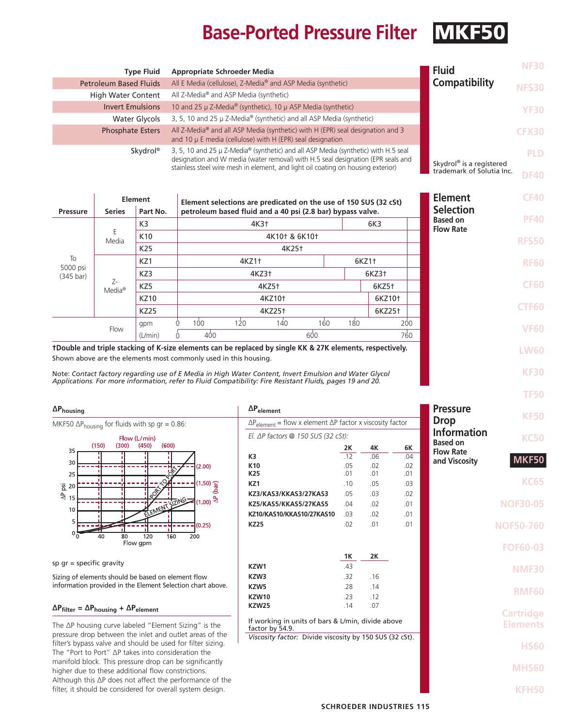# **Base-Ported Pressure Filter MKF5**

**DF40**

Skydrol® is a registered trademark of Solutia Inc.

**KF30**

**TF50**

| <b>Type Fluid</b>             | <b>Appropriate Schroeder Media</b>                                                                                                                                     | <b>Fluid</b>         | <b>NF30</b>  |
|-------------------------------|------------------------------------------------------------------------------------------------------------------------------------------------------------------------|----------------------|--------------|
| <b>Petroleum Based Fluids</b> | All E Media (cellulose), Z-Media® and ASP Media (synthetic)                                                                                                            | <b>Compatibility</b> | <b>NFS30</b> |
| <b>High Water Content</b>     | All Z-Media <sup>®</sup> and ASP Media (synthetic)                                                                                                                     |                      |              |
| <b>Invert Emulsions</b>       | 10 and 25 μ Z-Media® (synthetic), 10 μ ASP Media (synthetic)                                                                                                           |                      | YF30         |
| Water Glycols                 | 3, 5, 10 and 25 µ Z-Media® (synthetic) and all ASP Media (synthetic)                                                                                                   |                      |              |
| <b>Phosphate Esters</b>       | All Z-Media® and all ASP Media (synthetic) with H (EPR) seal designation and 3<br>and 10 $\mu$ E media (cellulose) with H (EPR) seal designation                       |                      | <b>CFX30</b> |
| Skydrol <sup>®</sup>          | 3, 5, 10 and 25 µ Z-Media® (synthetic) and all ASP Media (synthetic) with H.5 seal<br>decignation and M modia (water removal) with H E coal decignation (EDD coals and |                      | PLD          |

designation and W media (water removal) with H.5 seal designation (EPR seals and stainless steel wire mesh in element, and light oil coating on housing exterior)

|                                                                                                           |                          | Element         |  | Element selections are predicated on the use of 150 SUS (32 cSt) |       |       | <b>Element</b> | <b>CF40</b>        |                    |                                     |                  |              |  |  |              |
|-----------------------------------------------------------------------------------------------------------|--------------------------|-----------------|--|------------------------------------------------------------------|-------|-------|----------------|--------------------|--------------------|-------------------------------------|------------------|--------------|--|--|--------------|
| <b>Pressure</b>                                                                                           | <b>Series</b>            | Part No.        |  | petroleum based fluid and a 40 psi (2.8 bar) bypass valve.       |       |       |                |                    |                    |                                     | <b>Selection</b> |              |  |  |              |
|                                                                                                           | K <sub>3</sub>           |                 |  |                                                                  | 4K3†  |       |                | 6K3                |                    | <b>Based on</b><br><b>Flow Rate</b> | <b>PF40</b>      |              |  |  |              |
| To<br>5000 psi<br>$(345 \text{ bar})$                                                                     | Media                    | K <sub>10</sub> |  | 4K10+ & 6K10+                                                    |       |       |                |                    |                    |                                     |                  |              |  |  | <b>RFS50</b> |
|                                                                                                           |                          | K <sub>25</sub> |  |                                                                  |       | 4K25† |                |                    |                    |                                     |                  |              |  |  |              |
|                                                                                                           |                          | KZ1             |  |                                                                  | 4KZ1+ |       |                | 6KZ1+              |                    |                                     |                  | <b>RF60</b>  |  |  |              |
|                                                                                                           |                          | KZ3             |  | 4KZ3†<br>6KZ3†                                                   |       |       |                |                    |                    |                                     |                  |              |  |  |              |
|                                                                                                           | Z-<br>Media <sup>®</sup> | KZ5             |  | 4KZ5†                                                            |       |       |                |                    | 6KZ5†              |                                     |                  | <b>CF60</b>  |  |  |              |
|                                                                                                           |                          | <b>KZ10</b>     |  | 4KZ10 <sup>+</sup>                                               |       |       |                | 6KZ10 <sup>+</sup> |                    |                                     |                  |              |  |  |              |
|                                                                                                           |                          | <b>KZ25</b>     |  | 4KZ25 <sup>+</sup>                                               |       |       |                |                    | 6KZ25 <sup>+</sup> |                                     |                  | <b>CTF60</b> |  |  |              |
|                                                                                                           |                          | gpm             |  | 100                                                              | 120   | 140   | 160            | 180                |                    | 200                                 |                  | <b>VF60</b>  |  |  |              |
|                                                                                                           | Flow                     | (L/min)         |  | 400                                                              |       |       | 600            |                    |                    | 760                                 |                  |              |  |  |              |
| tDouble and triple stacking of K-size elements can be replaced by single KK & 27K elements, respectively. |                          |                 |  |                                                                  |       |       |                |                    |                    |                                     |                  | <b>LW60</b>  |  |  |              |
| Shown above are the elements most commonly used in this housing.                                          |                          |                 |  |                                                                  |       |       |                |                    |                    |                                     |                  |              |  |  |              |

Note: *Contact factory regarding use of E Media in High Water Content, Invert Emulsion and Water Glycol Applications. For more information, refer to Fluid Compatibility: Fire Resistant Fluids, pages 19 and 20.*

**∆Phousing** MKF50  $\Delta P_{\text{housing}}$  for fluids with sp gr = 0.86: Flow (L/min)  $(300)$  $(450)$  $(600)$  $(150)$ 35 30  $(2.00)$  $25$  $(1.50)$   $\frac{2}{5}$  $\overline{2}$  20  $\frac{a}{3}$  15  $\frac{1}{2}$  $(1.00)$ **VLEN**  $10$ 5  $(0.25)$  $\Omega$  $80$ 120 160 200 Flow gpm

sp gr = specific gravity

Sizing of elements should be based on element flow information provided in the Element Selection chart above.

### **∆Pfilter = ∆Phousing + ∆Pelement**

The ∆P housing curve labeled "Element Sizing" is the pressure drop between the inlet and outlet areas of the filter's bypass valve and should be used for filter sizing. The "Port to Port" ∆P takes into consideration the manifold block. This pressure drop can be significantly higher due to these additional flow constrictions. Although this ∆P does not affect the performance of the filter, it should be considered for overall system design.

| $\Delta P_{element}$                                                       |            | <b>Pressure</b>    | <b>KF50</b> |                                     |                  |
|----------------------------------------------------------------------------|------------|--------------------|-------------|-------------------------------------|------------------|
| $\Delta P_{element}$ = flow x element $\Delta P$ factor x viscosity factor |            | <b>Drop</b>        |             |                                     |                  |
| El. $\Delta P$ factors @ 150 SUS (32 cSt):                                 |            | <b>Information</b> | <b>KC50</b> |                                     |                  |
|                                                                            | 2K         | 4K                 | 6K          | <b>Based on</b><br><b>Flow Rate</b> |                  |
| K3                                                                         | .12        | .06                | .04         | and Viscosity                       | <b>MKF50</b>     |
| K <sub>10</sub><br>K25                                                     | .05<br>.01 | .02<br>.01         | .02<br>.01  |                                     |                  |
| KZ1                                                                        | .10        | .05                | .03         |                                     | <b>KC65</b>      |
| KZ3/KAS3/KKAS3/27KAS3                                                      | .05        | .03                | .02         |                                     |                  |
| KZ5/KAS5/KKAS5/27KAS5                                                      | .04        | .02                | .01         |                                     | <b>NOF30-05</b>  |
| KZ10/KAS10/KKAS10/27KAS10                                                  | .03        | .02                | .01         |                                     |                  |
| <b>KZ25</b>                                                                | .02        | .01                | .01         |                                     | <b>NOF50-760</b> |
|                                                                            |            |                    |             |                                     |                  |
|                                                                            |            |                    |             |                                     | <b>FOF60-03</b>  |
|                                                                            | 1Κ         | 2K                 |             |                                     |                  |
| KZW1                                                                       | .43        |                    |             |                                     | <b>NMF30</b>     |
| KZW3                                                                       | .32        | .16                |             |                                     |                  |
| KZW5                                                                       | .28        | .14                |             |                                     | <b>RMF60</b>     |
| KZW10                                                                      | .23        | .12                |             |                                     |                  |
| <b>KZW25</b>                                                               | .14        | .07                |             |                                     | <b>Cartridge</b> |
| If working in units of bars & L/min, divide above<br>factor by 54.9.       |            |                    |             |                                     | <b>Elements</b>  |
| Viscosity factor: Divide viscosity by 150 SUS (32 cSt).                    |            |                    |             |                                     |                  |
|                                                                            |            |                    |             |                                     | <b>HS60</b>      |
|                                                                            |            |                    |             |                                     |                  |
|                                                                            |            |                    |             |                                     | <b>MHS60</b>     |
|                                                                            |            |                    |             |                                     |                  |
|                                                                            |            |                    |             |                                     | <b>KFH50</b>     |